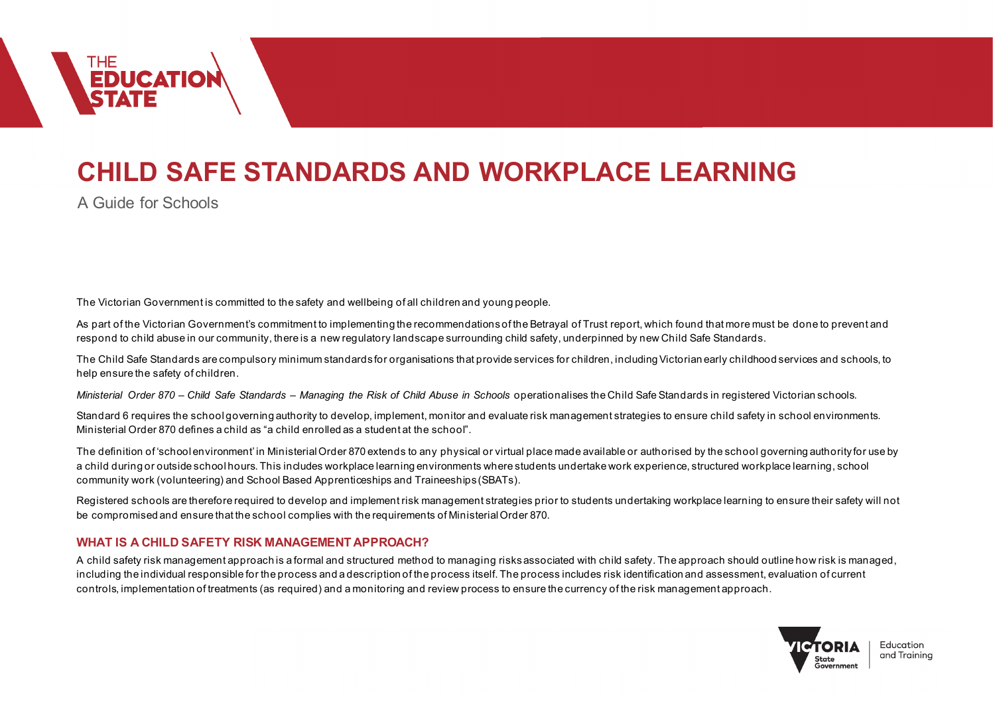

# **CHILD SAFE STANDARDS AND WORKPLACE LEARNING**

A Guide for Schools

The Victorian Government is committed to the safety and wellbeing of all children and young people.

As part of the Victorian Government's commitment to implementing the recommendations of the Betrayal of Trust report, which found that more must be done to prevent and respond to child abuse in our community, there is a new regulatory landscape surrounding child safety, underpinned by new Child Safe Standards.

The Child Safe Standards are compulsory minimum standards for organisations that provide services for children, including Victorian early childhood services and schools, to help ensure the safety of children.

*Ministerial Order 870 – Child Safe Standards – Managing the Risk of Child Abuse in Schools* operationalises the Child Safe Standards in registered Victorian schools.

Standard 6 requires the school governing authority to develop, implement, monitor and evaluate risk management strategies to ensure child safety in school environments. Ministerial Order 870 defines a child as "a child enrolled as a student at the school".

The definition of 'school environment' in Ministerial Order 870 extends to any physical or virtual place made available or authorised by the school governing authority for use by a child during or outside school hours. This includes workplace learning environments where students undertake work experience, structured workplace learning, school community work (volunteering) and School Based Apprenticeships and Traineeships (SBATs).

Registered schools are therefore required to develop and implement risk management strategies prior to students undertaking workplace learning to ensure their safety will not be compromised and ensure that the school complies with the requirements of Ministerial Order 870.

# **WHAT IS A CHILD SAFETY RISK MANAGEMENT APPROACH?**

A child safety risk management approach is a formal and structured method to managing risks associated with child safety. The approach should outline how risk is managed, including the individual responsible for the process and a description of the process itself. The process includes risk identification and assessment, evaluation of current controls, implementation of treatments (as required) and a monitoring and review process to ensure the currency of the risk management approach.



Education and Trainina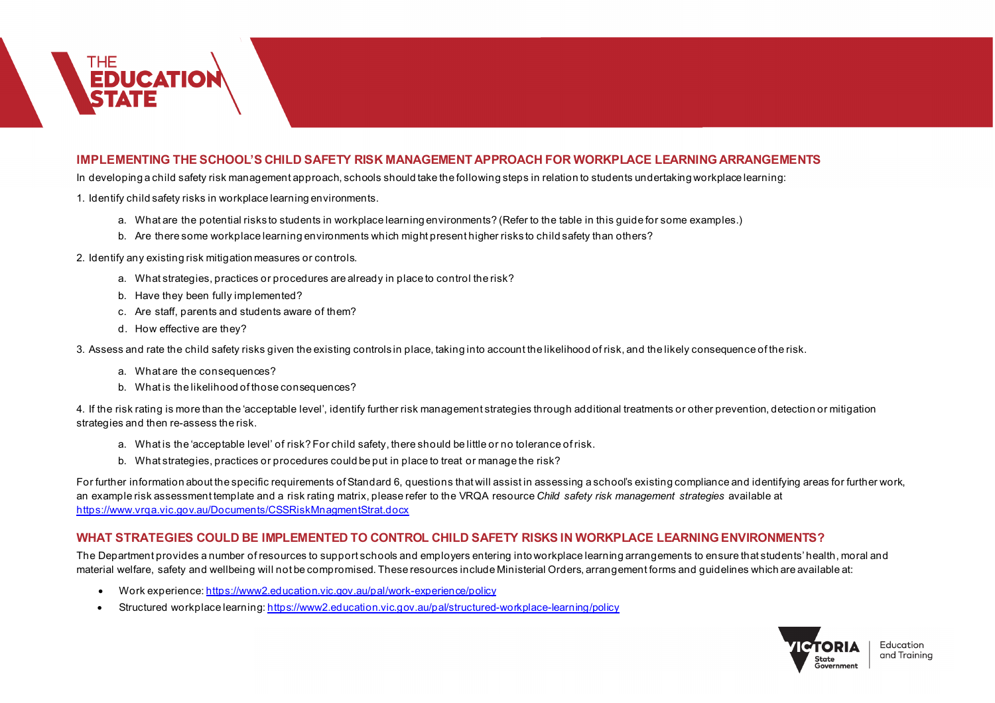

## **IMPLEMENTING THE SCHOOL'S CHILD SAFETY RISK MANAGEMENT APPROACH FOR WORKPLACE LEARNINGARRANGEMENTS**

In developing a child safety risk management approach, schools should take the following steps in relation to students undertaking workplace learning:

1. Identify child safety risks in workplace learning environments.

- a. What are the potential risks to students in workplace learning environments? (Refer to the table in this guide for some examples.)
- b. Are there some workplace learning environments which might present higher risks to child safety than others?

2. Identify any existing risk mitigation measures or controls.

- a. What strategies, practices or procedures are already in place to control the risk?
- b. Have they been fully implemented?
- c. Are staff, parents and students aware of them?
- d. How effective are they?

3. Assess and rate the child safety risks given the existing controls in place, taking into account the likelihood of risk, and the likely consequence of the risk.

- a. What are the consequences?
- b. What is the likelihood of those consequences?

4. If the risk rating is more than the 'acceptable level', identify further risk management strategies through additional treatments or other prevention, detection or mitigation strategies and then re-assess the risk.

- a. What is the 'acceptable level' of risk? For child safety, there should be little or no tolerance of risk.
- b. What strategies, practices or procedures could be put in place to treat or manage the risk?

For further information about the specific requirements of Standard 6, questions that will assist in assessing a school's existing compliance and identifying areas for further work, an example risk assessment template and a risk rating matrix, please refer to the VRQA resource *Child safety risk management strategies* available at https://www.vrqa.vic.gov.au/Documents/CSSRiskMnagmentStrat.docx

# **WHAT STRATEGIES COULD BE IMPLEMENTED TO CONTROL CHILD SAFETY RISKS IN WORKPLACE LEARNING ENVIRONMENTS?**

The Department provides a number of resources to support schools and employers entering into workplace learning arrangements to ensure that students' health, moral and material welfare, safety and wellbeing will not be compromised. These resources include Ministerial Orders, arrangement forms and guidelines which are available at:

- Work experience: https://www2.education.vic.gov.au/pal/work-experience/policy
- Structured workplace learning[: https://www2.education.vic.gov.au/pal/structured-workplace-learning/policy](https://www2.education.vic.gov.au/pal/structured-workplace-learning/policy)



Education and Trainina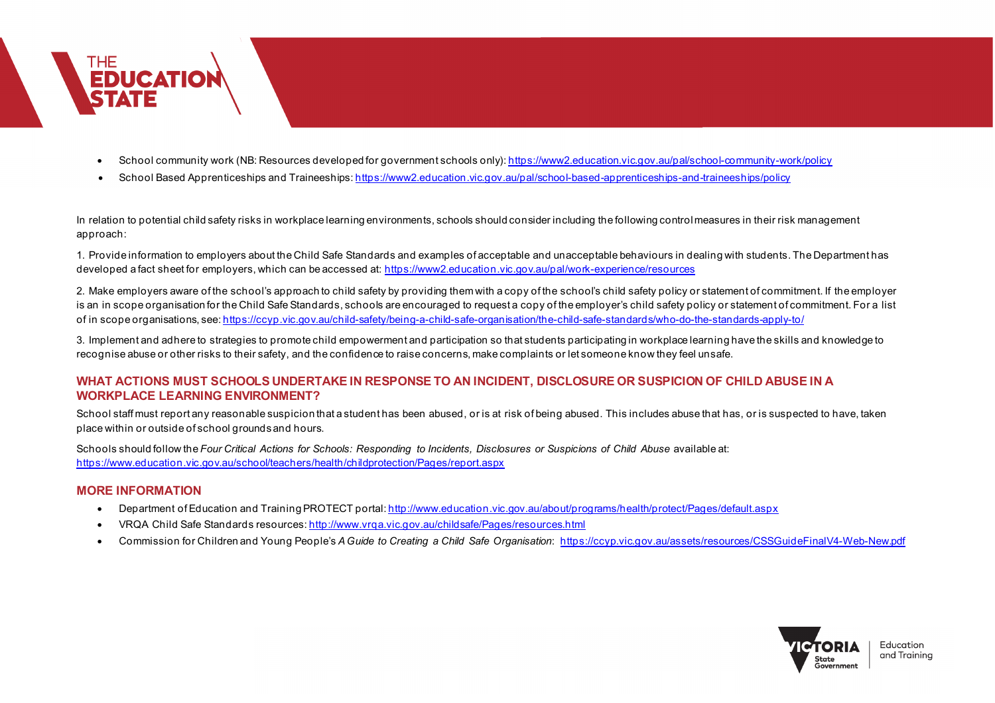

- School community work (NB: Resources developed for government schools only)[: https://www2.education.vic.gov.au/pal/school-community-work/policy](https://www2.education.vic.gov.au/pal/school-community-work/policy)
- School Based Apprenticeships and Traineeships: <https://www2.education.vic.gov.au/pal/school-based-apprenticeships-and-traineeships/policy>

In relation to potential child safety risks in workplace learning environments, schools should consider including the following control measures in their risk management approach:

1. Provide information to employers about the Child Safe Standards and examples of acceptable and unacceptable behaviours in dealing with students. The Department has developed a fact sheet for employers, which can be accessed at:<https://www2.education.vic.gov.au/pal/work-experience/resources>

2. Make employers aware of the school's approach to child safety by providing them with a copy of the school's child safety policy or statement of commitment. If the employer is an in scope organisation for the Child Safe Standards, schools are encouraged to request a copy of the employer's child safety policy or statement of commitment. For a list of in scope organisations, see[: https://ccyp.vic.gov.au/child-safety/being-a-child-safe-organisation/the-child-safe-standards/who-do-the-standards-apply-to/](https://ccyp.vic.gov.au/child-safety/being-a-child-safe-organisation/the-child-safe-standards/who-do-the-standards-apply-to/)

3. Implement and adhere to strategies to promote child empowerment and participation so that students participating in workplace learning have the skills and knowledge to recognise abuse or other risks to their safety, and the confidence to raise concerns, make complaints or let someone know they feel unsafe.

# **WHAT ACTIONS MUST SCHOOLS UNDERTAKE IN RESPONSE TO AN INCIDENT, DISCLOSURE OR SUSPICION OF CHILD ABUSE IN A WORKPLACE LEARNING ENVIRONMENT?**

School staff must report any reasonable suspicion that a student has been abused, or is at risk of being abused. This includes abuse that has, or is suspected to have, taken place within or outside of school grounds and hours.

Schools should follow the *Four Critical Actions for Schools: Responding to Incidents, Disclosures or Suspicions of Child Abuse available at:* <https://www.education.vic.gov.au/school/teachers/health/childprotection/Pages/report.aspx>

# **MORE INFORMATION**

- Department of Education and Training PROTECT portal[: http://www.education.vic.gov.au/about/programs/health/protect/Pages/default.aspx](http://www.education.vic.gov.au/about/programs/health/protect/Pages/default.aspx)
- VRQA Child Safe Standards resources[: http://www.vrqa.vic.gov.au/childsafe/Pages/resources.html](http://www.vrqa.vic.gov.au/childsafe/Pages/resources.html)
- Commission for Children and Young People's *A Guide to Creating a Child Safe Organisation*:<https://ccyp.vic.gov.au/assets/resources/CSSGuideFinalV4-Web-New.pdf>